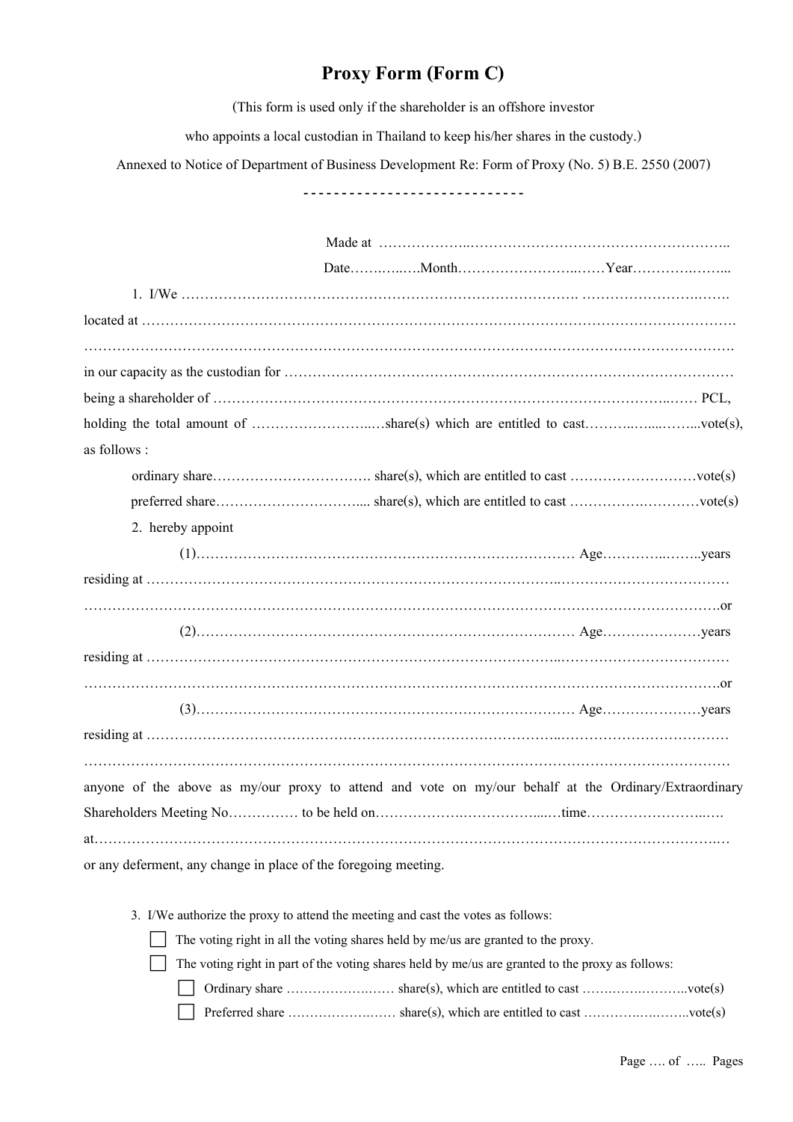## **Proxy Form (Form C)**

(This form is used only if the shareholder is an offshore investor

who appoints a local custodian in Thailand to keep his/her shares in the custody.)

Annexed to Notice of Department of Business Development Re: Form of Proxy (No. 5) B.E. 2550 (2007)

------------------------------

| $located at 1 1 1 1 1 1 1 1 1 1 1 1 1 1 1 1 1 1 1 1 1 1 1 1 1 1 1 $                                   |
|-------------------------------------------------------------------------------------------------------|
|                                                                                                       |
|                                                                                                       |
|                                                                                                       |
|                                                                                                       |
| as follows :                                                                                          |
|                                                                                                       |
|                                                                                                       |
| 2. hereby appoint                                                                                     |
|                                                                                                       |
|                                                                                                       |
|                                                                                                       |
|                                                                                                       |
|                                                                                                       |
|                                                                                                       |
|                                                                                                       |
|                                                                                                       |
|                                                                                                       |
| anyone of the above as my/our proxy to attend and vote on my/our behalf at the Ordinary/Extraordinary |
|                                                                                                       |
|                                                                                                       |
| or any deferment, any change in place of the foregoing meeting.                                       |
| 3. I/We authorize the proxy to attend the meeting and cast the votes as follows:                      |

 $\Box$  The voting right in all the voting shares held by me/us are granted to the proxy.

The voting right in part of the voting shares held by me/us are granted to the proxy as follows:

Ordinary share ……………….…… share(s), which are entitled to cast …….…….………..vote(s)

Preferred share ……………….…… share(s), which are entitled to cast ………….….……..vote(s)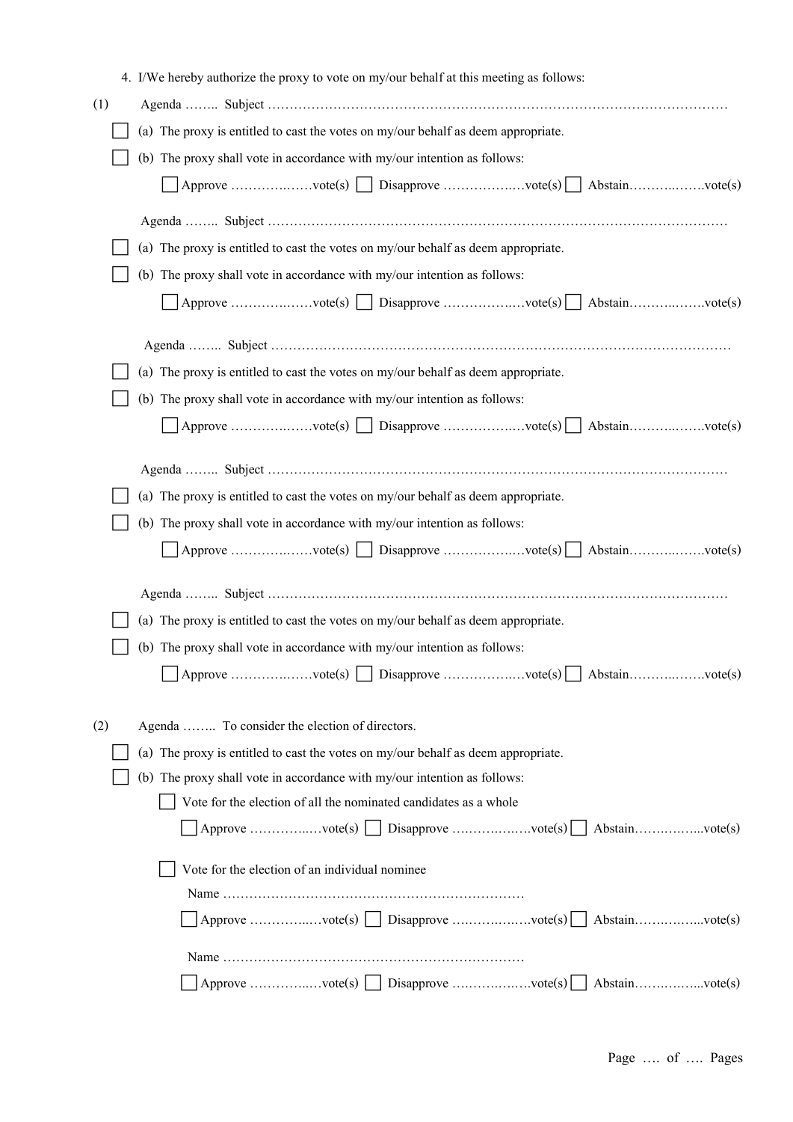|     | 4. I/We hereby authorize the proxy to vote on my/our behalf at this meeting as follows: |  |  |
|-----|-----------------------------------------------------------------------------------------|--|--|
| (1) |                                                                                         |  |  |
|     | (a) The proxy is entitled to cast the votes on my/our behalf as deem appropriate.       |  |  |
|     | (b) The proxy shall vote in accordance with my/our intention as follows:                |  |  |
|     |                                                                                         |  |  |
|     |                                                                                         |  |  |
|     |                                                                                         |  |  |
|     | (a) The proxy is entitled to cast the votes on my/our behalf as deem appropriate.       |  |  |
|     | (b) The proxy shall vote in accordance with my/our intention as follows:                |  |  |
|     |                                                                                         |  |  |
|     |                                                                                         |  |  |
|     | (a) The proxy is entitled to cast the votes on my/our behalf as deem appropriate.       |  |  |
|     | (b) The proxy shall vote in accordance with my/our intention as follows:                |  |  |
|     |                                                                                         |  |  |
|     |                                                                                         |  |  |
|     |                                                                                         |  |  |
|     | (a) The proxy is entitled to cast the votes on my/our behalf as deem appropriate.       |  |  |
|     | (b) The proxy shall vote in accordance with my/our intention as follows:                |  |  |
|     | Approve vote(s)   Disapprove vote(s)   Abstainvote(s)                                   |  |  |
|     |                                                                                         |  |  |
|     | (a) The proxy is entitled to cast the votes on my/our behalf as deem appropriate.       |  |  |
|     | (b) The proxy shall vote in accordance with my/our intention as follows:                |  |  |
|     |                                                                                         |  |  |
|     |                                                                                         |  |  |
| (2) | Agenda  To consider the election of directors.                                          |  |  |
|     | (a) The proxy is entitled to cast the votes on my/our behalf as deem appropriate.       |  |  |
|     | (b) The proxy shall vote in accordance with my/our intention as follows:                |  |  |
|     | Vote for the election of all the nominated candidates as a whole                        |  |  |
|     | Approve vote(s)     Disapprove vote(s)     Abstainvote(s)                               |  |  |
|     |                                                                                         |  |  |
|     | Vote for the election of an individual nominee                                          |  |  |
|     | Approve vote(s) $\Box$ Disapprove vote(s) $\Box$ Abstainvote(s)                         |  |  |
|     |                                                                                         |  |  |
|     |                                                                                         |  |  |
|     | $Abstain$ vote $(s)$                                                                    |  |  |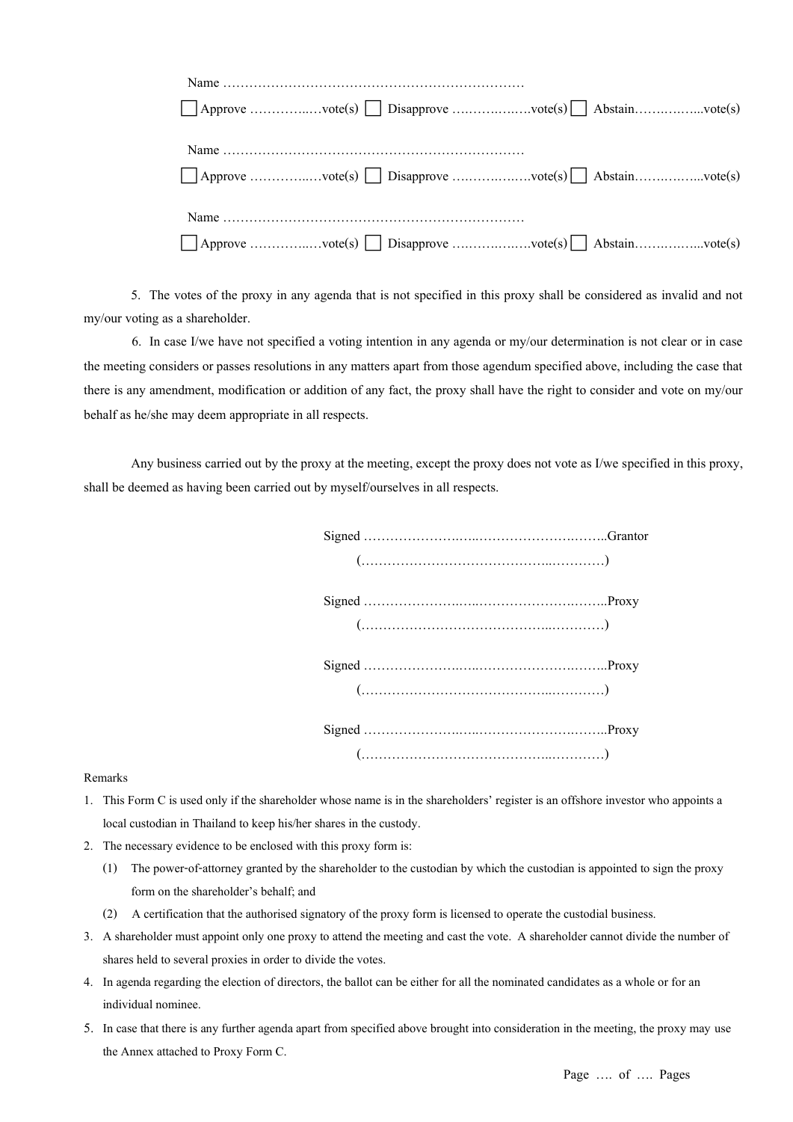| $\Box$ Approve vote(s) $\Box$ Disapprove vote(s) Abstainvote(s)        |
|------------------------------------------------------------------------|
|                                                                        |
|                                                                        |
| $\Box$ Approve vote(s) $\Box$ Disapprove vote(s) $\Box$ Abstainvote(s) |
|                                                                        |
|                                                                        |
| $\Box$ Approve vote(s) $\Box$ Disapprove vote(s) $\Box$ Abstainvote(s) |

5. The votes of the proxy in any agenda that is not specified in this proxy shall be considered as invalid and not my/our voting as a shareholder.

6. In case I/we have not specified a voting intention in any agenda or my/our determination is not clear or in case the meeting considers or passes resolutions in any matters apart from those agendum specified above, including the case that there is any amendment, modification or addition of any fact, the proxy shall have the right to consider and vote on my/our behalf as he/she may deem appropriate in all respects.

Any business carried out by the proxy at the meeting, except the proxy does not vote as I/we specified in this proxy, shall be deemed as having been carried out by myself/ourselves in all respects.

## Remarks

- 1. This Form C is used only if the shareholder whose name is in the shareholders' register is an offshore investor who appoints a local custodian in Thailand to keep his/her shares in the custody.
- 2. The necessary evidence to be enclosed with this proxy form is:
	- (1) The power-of-attorney granted by the shareholder to the custodian by which the custodian is appointed to sign the proxy form on the shareholder's behalf; and
	- (2) A certification that the authorised signatory of the proxy form is licensed to operate the custodial business.
- 3. A shareholder must appoint only one proxy to attend the meeting and cast the vote. A shareholder cannot divide the number of shares held to several proxies in order to divide the votes.
- 4. In agenda regarding the election of directors, the ballot can be either for all the nominated candidates as a whole or for an individual nominee.
- 5. In case that there is any further agenda apart from specified above brought into consideration in the meeting, the proxy may use the Annex attached to Proxy Form C.